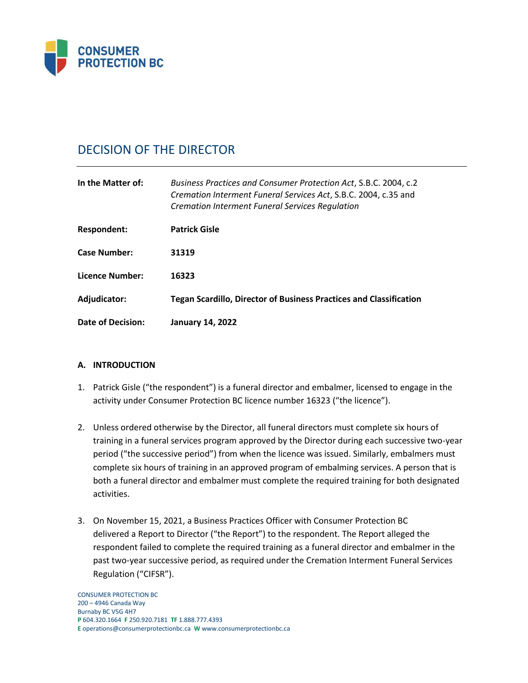

# DECISION OF THE DIRECTOR

| In the Matter of:   | Business Practices and Consumer Protection Act, S.B.C. 2004, c.2<br>Cremation Interment Funeral Services Act, S.B.C. 2004, c.35 and<br><b>Cremation Interment Funeral Services Regulation</b> |
|---------------------|-----------------------------------------------------------------------------------------------------------------------------------------------------------------------------------------------|
| Respondent:         | <b>Patrick Gisle</b>                                                                                                                                                                          |
| <b>Case Number:</b> | 31319                                                                                                                                                                                         |
| Licence Number:     | 16323                                                                                                                                                                                         |
| Adjudicator:        | <b>Tegan Scardillo, Director of Business Practices and Classification</b>                                                                                                                     |
| Date of Decision:   | <b>January 14, 2022</b>                                                                                                                                                                       |

## **A. INTRODUCTION**

- 1. Patrick Gisle ("the respondent") is a funeral director and embalmer, licensed to engage in the activity under Consumer Protection BC licence number 16323 ("the licence").
- 2. Unless ordered otherwise by the Director, all funeral directors must complete six hours of training in a funeral services program approved by the Director during each successive two-year period ("the successive period") from when the licence was issued. Similarly, embalmers must complete six hours of training in an approved program of embalming services. A person that is both a funeral director and embalmer must complete the required training for both designated activities.
- 3. On November 15, 2021, a Business Practices Officer with Consumer Protection BC delivered a Report to Director ("the Report") to the respondent. The Report alleged the respondent failed to complete the required training as a funeral director and embalmer in the past two-year successive period, as required under the Cremation Interment Funeral Services Regulation ("CIFSR").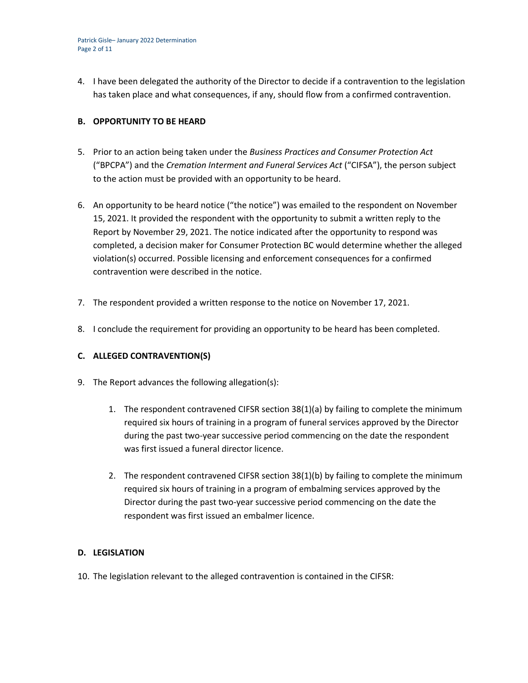4. I have been delegated the authority of the Director to decide if a contravention to the legislation has taken place and what consequences, if any, should flow from a confirmed contravention.

## **B. OPPORTUNITY TO BE HEARD**

- 5. Prior to an action being taken under the *Business Practices and Consumer Protection Act*  ("BPCPA") and the *Cremation Interment and Funeral Services Act* ("CIFSA"), the person subject to the action must be provided with an opportunity to be heard.
- 6. An opportunity to be heard notice ("the notice") was emailed to the respondent on November 15, 2021. It provided the respondent with the opportunity to submit a written reply to the Report by November 29, 2021. The notice indicated after the opportunity to respond was completed, a decision maker for Consumer Protection BC would determine whether the alleged violation(s) occurred. Possible licensing and enforcement consequences for a confirmed contravention were described in the notice.
- 7. The respondent provided a written response to the notice on November 17, 2021.
- 8. I conclude the requirement for providing an opportunity to be heard has been completed.

## **C. ALLEGED CONTRAVENTION(S)**

- 9. The Report advances the following allegation(s):
	- 1. The respondent contravened CIFSR section 38(1)(a) by failing to complete the minimum required six hours of training in a program of funeral services approved by the Director during the past two-year successive period commencing on the date the respondent was first issued a funeral director licence.
	- 2. The respondent contravened CIFSR section 38(1)(b) by failing to complete the minimum required six hours of training in a program of embalming services approved by the Director during the past two-year successive period commencing on the date the respondent was first issued an embalmer licence.

### **D. LEGISLATION**

10. The legislation relevant to the alleged contravention is contained in the CIFSR: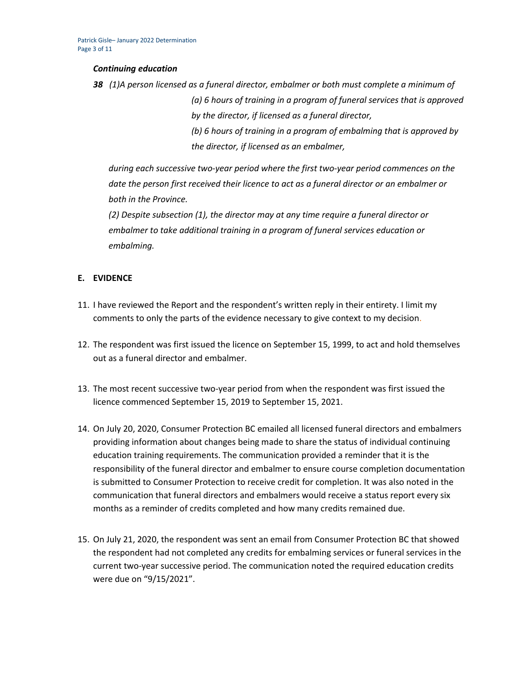#### *Continuing education*

*38 (1)A person licensed as a funeral director, embalmer or both must complete a minimum of (a) 6 hours of training in a program of funeral services that is approved by the director, if licensed as a funeral director, (b) 6 hours of training in a program of embalming that is approved by the director, if licensed as an embalmer,*

*during each successive two-year period where the first two-year period commences on the date the person first received their licence to act as a funeral director or an embalmer or both in the Province.*

*(2) Despite subsection (1), the director may at any time require a funeral director or embalmer to take additional training in a program of funeral services education or embalming.*

### **E. EVIDENCE**

- 11. I have reviewed the Report and the respondent's written reply in their entirety. I limit my comments to only the parts of the evidence necessary to give context to my decision.
- 12. The respondent was first issued the licence on September 15, 1999, to act and hold themselves out as a funeral director and embalmer.
- 13. The most recent successive two-year period from when the respondent was first issued the licence commenced September 15, 2019 to September 15, 2021.
- 14. On July 20, 2020, Consumer Protection BC emailed all licensed funeral directors and embalmers providing information about changes being made to share the status of individual continuing education training requirements. The communication provided a reminder that it is the responsibility of the funeral director and embalmer to ensure course completion documentation is submitted to Consumer Protection to receive credit for completion. It was also noted in the communication that funeral directors and embalmers would receive a status report every six months as a reminder of credits completed and how many credits remained due.
- 15. On July 21, 2020, the respondent was sent an email from Consumer Protection BC that showed the respondent had not completed any credits for embalming services or funeral services in the current two-year successive period. The communication noted the required education credits were due on "9/15/2021".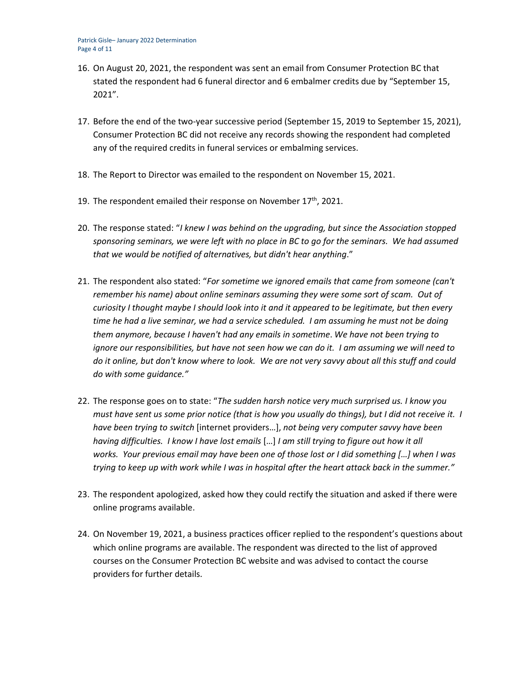- 16. On August 20, 2021, the respondent was sent an email from Consumer Protection BC that stated the respondent had 6 funeral director and 6 embalmer credits due by "September 15, 2021".
- 17. Before the end of the two-year successive period (September 15, 2019 to September 15, 2021), Consumer Protection BC did not receive any records showing the respondent had completed any of the required credits in funeral services or embalming services.
- 18. The Report to Director was emailed to the respondent on November 15, 2021.
- 19. The respondent emailed their response on November  $17<sup>th</sup>$ , 2021.
- 20. The response stated: "*I knew I was behind on the upgrading, but since the Association stopped sponsoring seminars, we were left with no place in BC to go for the seminars. We had assumed that we would be notified of alternatives, but didn't hear anything*."
- 21. The respondent also stated: "*For sometime we ignored emails that came from someone (can't remember his name) about online seminars assuming they were some sort of scam. Out of curiosity I thought maybe I should look into it and it appeared to be legitimate, but then every time he had a live seminar, we had a service scheduled. I am assuming he must not be doing them anymore, because I haven't had any emails in sometime*. *We have not been trying to ignore our responsibilities, but have not seen how we can do it. I am assuming we will need to do it online, but don't know where to look. We are not very savvy about all this stuff and could do with some guidance."*
- 22. The response goes on to state: "*The sudden harsh notice very much surprised us. I know you must have sent us some prior notice (that is how you usually do things), but I did not receive it. I have been trying to switch* [internet providers…], *not being very computer savvy have been having difficulties. I know I have lost emails* […] *I am still trying to figure out how it all works. Your previous email may have been one of those lost or I did something […] when I was trying to keep up with work while I was in hospital after the heart attack back in the summer."*
- 23. The respondent apologized, asked how they could rectify the situation and asked if there were online programs available.
- 24. On November 19, 2021, a business practices officer replied to the respondent's questions about which online programs are available. The respondent was directed to the list of approved courses on the Consumer Protection BC website and was advised to contact the course providers for further details.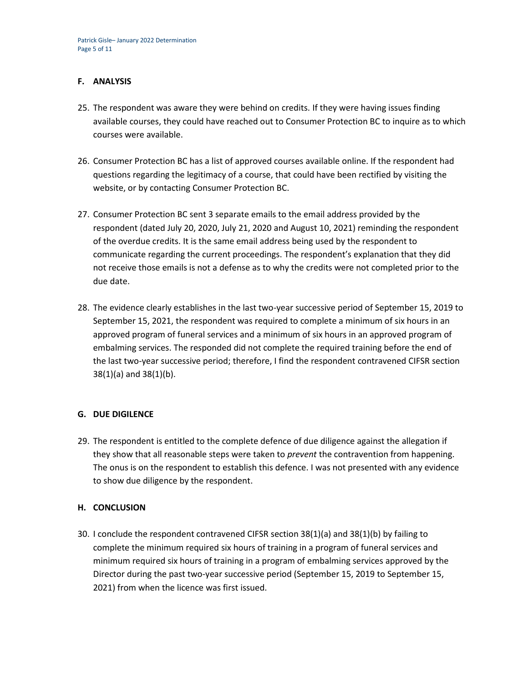## **F. ANALYSIS**

- 25. The respondent was aware they were behind on credits. If they were having issues finding available courses, they could have reached out to Consumer Protection BC to inquire as to which courses were available.
- 26. Consumer Protection BC has a list of approved courses available online. If the respondent had questions regarding the legitimacy of a course, that could have been rectified by visiting the website, or by contacting Consumer Protection BC.
- 27. Consumer Protection BC sent 3 separate emails to the email address provided by the respondent (dated July 20, 2020, July 21, 2020 and August 10, 2021) reminding the respondent of the overdue credits. It is the same email address being used by the respondent to communicate regarding the current proceedings. The respondent's explanation that they did not receive those emails is not a defense as to why the credits were not completed prior to the due date.
- 28. The evidence clearly establishes in the last two-year successive period of September 15, 2019 to September 15, 2021, the respondent was required to complete a minimum of six hours in an approved program of funeral services and a minimum of six hours in an approved program of embalming services. The responded did not complete the required training before the end of the last two-year successive period; therefore, I find the respondent contravened CIFSR section 38(1)(a) and 38(1)(b).

### **G. DUE DIGILENCE**

29. The respondent is entitled to the complete defence of due diligence against the allegation if they show that all reasonable steps were taken to *prevent* the contravention from happening. The onus is on the respondent to establish this defence. I was not presented with any evidence to show due diligence by the respondent.

## **H. CONCLUSION**

30. I conclude the respondent contravened CIFSR section 38(1)(a) and 38(1)(b) by failing to complete the minimum required six hours of training in a program of funeral services and minimum required six hours of training in a program of embalming services approved by the Director during the past two-year successive period (September 15, 2019 to September 15, 2021) from when the licence was first issued.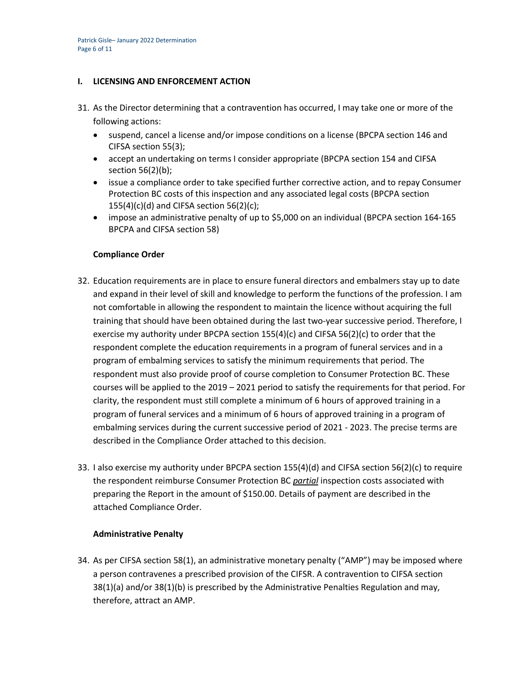#### **I. LICENSING AND ENFORCEMENT ACTION**

- 31. As the Director determining that a contravention has occurred, I may take one or more of the following actions:
	- suspend, cancel a license and/or impose conditions on a license (BPCPA section 146 and CIFSA section 55(3);
	- accept an undertaking on terms I consider appropriate (BPCPA section 154 and CIFSA section 56(2)(b);
	- issue a compliance order to take specified further corrective action, and to repay Consumer Protection BC costs of this inspection and any associated legal costs (BPCPA section  $155(4)(c)(d)$  and CIFSA section 56(2)(c);
	- impose an administrative penalty of up to \$5,000 on an individual (BPCPA section 164-165 BPCPA and CIFSA section 58)

### **Compliance Order**

- 32. Education requirements are in place to ensure funeral directors and embalmers stay up to date and expand in their level of skill and knowledge to perform the functions of the profession. I am not comfortable in allowing the respondent to maintain the licence without acquiring the full training that should have been obtained during the last two-year successive period. Therefore, I exercise my authority under BPCPA section  $155(4)(c)$  and CIFSA  $56(2)(c)$  to order that the respondent complete the education requirements in a program of funeral services and in a program of embalming services to satisfy the minimum requirements that period. The respondent must also provide proof of course completion to Consumer Protection BC. These courses will be applied to the 2019 – 2021 period to satisfy the requirements for that period. For clarity, the respondent must still complete a minimum of 6 hours of approved training in a program of funeral services and a minimum of 6 hours of approved training in a program of embalming services during the current successive period of 2021 - 2023. The precise terms are described in the Compliance Order attached to this decision.
- 33. I also exercise my authority under BPCPA section 155(4)(d) and CIFSA section 56(2)(c) to require the respondent reimburse Consumer Protection BC *partial* inspection costs associated with preparing the Report in the amount of \$150.00. Details of payment are described in the attached Compliance Order.

#### **Administrative Penalty**

34. As per CIFSA section 58(1), an administrative monetary penalty ("AMP") may be imposed where a person contravenes a prescribed provision of the CIFSR. A contravention to CIFSA section 38(1)(a) and/or 38(1)(b) is prescribed by the Administrative Penalties Regulation and may, therefore, attract an AMP.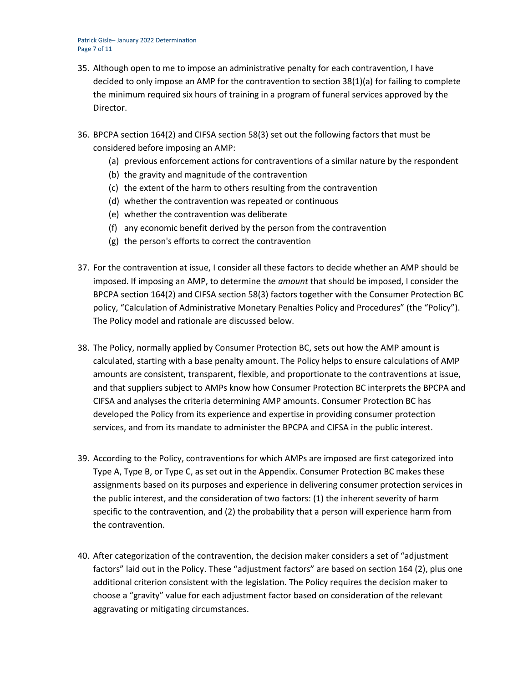Patrick Gisle– January 2022 Determination Page 7 of 11

- 35. Although open to me to impose an administrative penalty for each contravention, I have decided to only impose an AMP for the contravention to section 38(1)(a) for failing to complete the minimum required six hours of training in a program of funeral services approved by the Director.
- 36. BPCPA section 164(2) and CIFSA section 58(3) set out the following factors that must be considered before imposing an AMP:
	- (a) previous enforcement actions for contraventions of a similar nature by the respondent
	- (b) the gravity and magnitude of the contravention
	- (c) the extent of the harm to others resulting from the contravention
	- (d) whether the contravention was repeated or continuous
	- (e) whether the contravention was deliberate
	- (f) any economic benefit derived by the person from the contravention
	- (g) the person's efforts to correct the contravention
- 37. For the contravention at issue, I consider all these factors to decide whether an AMP should be imposed. If imposing an AMP, to determine the *amount* that should be imposed, I consider the BPCPA section 164(2) and CIFSA section 58(3) factors together with the Consumer Protection BC policy, "Calculation of Administrative Monetary Penalties Policy and Procedures" (the "Policy"). The Policy model and rationale are discussed below.
- 38. The Policy, normally applied by Consumer Protection BC, sets out how the AMP amount is calculated, starting with a base penalty amount. The Policy helps to ensure calculations of AMP amounts are consistent, transparent, flexible, and proportionate to the contraventions at issue, and that suppliers subject to AMPs know how Consumer Protection BC interprets the BPCPA and CIFSA and analyses the criteria determining AMP amounts. Consumer Protection BC has developed the Policy from its experience and expertise in providing consumer protection services, and from its mandate to administer the BPCPA and CIFSA in the public interest.
- 39. According to the Policy, contraventions for which AMPs are imposed are first categorized into Type A, Type B, or Type C, as set out in the Appendix. Consumer Protection BC makes these assignments based on its purposes and experience in delivering consumer protection services in the public interest, and the consideration of two factors: (1) the inherent severity of harm specific to the contravention, and (2) the probability that a person will experience harm from the contravention.
- 40. After categorization of the contravention, the decision maker considers a set of "adjustment factors" laid out in the Policy. These "adjustment factors" are based on section 164 (2), plus one additional criterion consistent with the legislation. The Policy requires the decision maker to choose a "gravity" value for each adjustment factor based on consideration of the relevant aggravating or mitigating circumstances.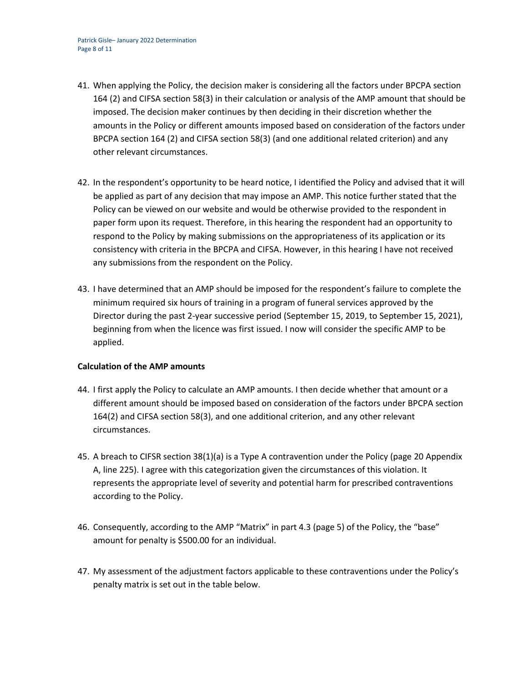- 41. When applying the Policy, the decision maker is considering all the factors under BPCPA section 164 (2) and CIFSA section 58(3) in their calculation or analysis of the AMP amount that should be imposed. The decision maker continues by then deciding in their discretion whether the amounts in the Policy or different amounts imposed based on consideration of the factors under BPCPA section 164 (2) and CIFSA section 58(3) (and one additional related criterion) and any other relevant circumstances.
- 42. In the respondent's opportunity to be heard notice, I identified the Policy and advised that it will be applied as part of any decision that may impose an AMP. This notice further stated that the Policy can be viewed on our website and would be otherwise provided to the respondent in paper form upon its request. Therefore, in this hearing the respondent had an opportunity to respond to the Policy by making submissions on the appropriateness of its application or its consistency with criteria in the BPCPA and CIFSA. However, in this hearing I have not received any submissions from the respondent on the Policy.
- 43. I have determined that an AMP should be imposed for the respondent's failure to complete the minimum required six hours of training in a program of funeral services approved by the Director during the past 2-year successive period (September 15, 2019, to September 15, 2021), beginning from when the licence was first issued. I now will consider the specific AMP to be applied.

### **Calculation of the AMP amounts**

- 44. I first apply the Policy to calculate an AMP amounts. I then decide whether that amount or a different amount should be imposed based on consideration of the factors under BPCPA section 164(2) and CIFSA section 58(3), and one additional criterion, and any other relevant circumstances.
- 45. A breach to CIFSR section 38(1)(a) is a Type A contravention under the Policy (page 20 Appendix A, line 225). I agree with this categorization given the circumstances of this violation. It represents the appropriate level of severity and potential harm for prescribed contraventions according to the Policy.
- 46. Consequently, according to the AMP "Matrix" in part 4.3 (page 5) of the Policy, the "base" amount for penalty is \$500.00 for an individual.
- 47. My assessment of the adjustment factors applicable to these contraventions under the Policy's penalty matrix is set out in the table below.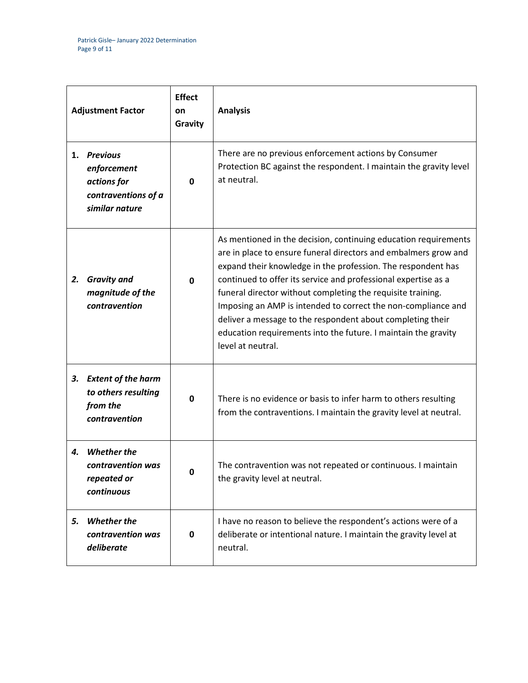| <b>Adjustment Factor</b> |                                                                                        | <b>Effect</b><br>on<br>Gravity | <b>Analysis</b>                                                                                                                                                                                                                                                                                                                                                                                                                                                                                                                                           |
|--------------------------|----------------------------------------------------------------------------------------|--------------------------------|-----------------------------------------------------------------------------------------------------------------------------------------------------------------------------------------------------------------------------------------------------------------------------------------------------------------------------------------------------------------------------------------------------------------------------------------------------------------------------------------------------------------------------------------------------------|
| 1.                       | <b>Previous</b><br>enforcement<br>actions for<br>contraventions of a<br>similar nature | 0                              | There are no previous enforcement actions by Consumer<br>Protection BC against the respondent. I maintain the gravity level<br>at neutral.                                                                                                                                                                                                                                                                                                                                                                                                                |
| 2.                       | <b>Gravity and</b><br>magnitude of the<br>contravention                                | $\mathbf{0}$                   | As mentioned in the decision, continuing education requirements<br>are in place to ensure funeral directors and embalmers grow and<br>expand their knowledge in the profession. The respondent has<br>continued to offer its service and professional expertise as a<br>funeral director without completing the requisite training.<br>Imposing an AMP is intended to correct the non-compliance and<br>deliver a message to the respondent about completing their<br>education requirements into the future. I maintain the gravity<br>level at neutral. |
| З.                       | <b>Extent of the harm</b><br>to others resulting<br>from the<br>contravention          | 0                              | There is no evidence or basis to infer harm to others resulting<br>from the contraventions. I maintain the gravity level at neutral.                                                                                                                                                                                                                                                                                                                                                                                                                      |
| 4.                       | <b>Whether the</b><br>contravention was<br>repeated or<br>continuous                   |                                | The contravention was not repeated or continuous. I maintain<br>the gravity level at neutral.                                                                                                                                                                                                                                                                                                                                                                                                                                                             |
| 5.                       | <b>Whether the</b><br>contravention was<br>deliberate                                  | 0                              | I have no reason to believe the respondent's actions were of a<br>deliberate or intentional nature. I maintain the gravity level at<br>neutral.                                                                                                                                                                                                                                                                                                                                                                                                           |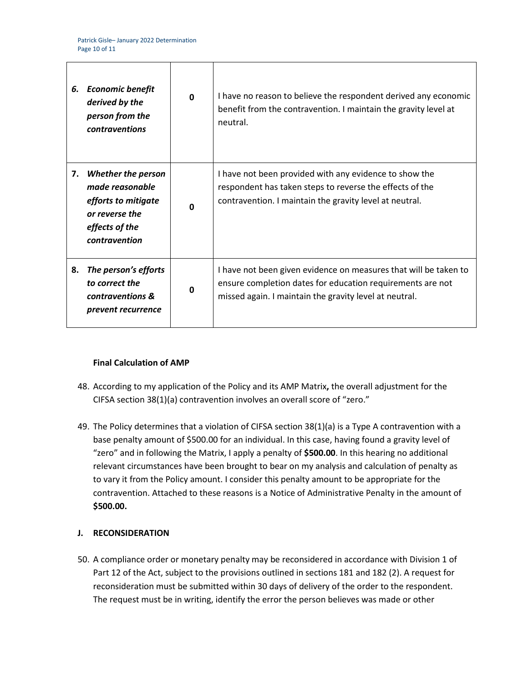| 6. | <b>Economic benefit</b><br>derived by the<br>person from the<br><b>contraventions</b>                                    | $\Omega$ | I have no reason to believe the respondent derived any economic<br>benefit from the contravention. I maintain the gravity level at<br>neutral.                                           |
|----|--------------------------------------------------------------------------------------------------------------------------|----------|------------------------------------------------------------------------------------------------------------------------------------------------------------------------------------------|
| 7. | <b>Whether the person</b><br>made reasonable<br>efforts to mitigate<br>or reverse the<br>effects of the<br>contravention | n        | I have not been provided with any evidence to show the<br>respondent has taken steps to reverse the effects of the<br>contravention. I maintain the gravity level at neutral.            |
| 8. | The person's efforts<br>to correct the<br>contraventions &<br>prevent recurrence                                         | $\Omega$ | I have not been given evidence on measures that will be taken to<br>ensure completion dates for education requirements are not<br>missed again. I maintain the gravity level at neutral. |

## **Final Calculation of AMP**

- 48. According to my application of the Policy and its AMP Matrix**,** the overall adjustment for the CIFSA section 38(1)(a) contravention involves an overall score of "zero."
- 49. The Policy determines that a violation of CIFSA section 38(1)(a) is a Type A contravention with a base penalty amount of \$500.00 for an individual. In this case, having found a gravity level of "zero" and in following the Matrix, I apply a penalty of **\$500.00**. In this hearing no additional relevant circumstances have been brought to bear on my analysis and calculation of penalty as to vary it from the Policy amount. I consider this penalty amount to be appropriate for the contravention. Attached to these reasons is a Notice of Administrative Penalty in the amount of **\$500.00.**

### **J. RECONSIDERATION**

50. A compliance order or monetary penalty may be reconsidered in accordance with Division 1 of Part 12 of the Act, subject to the provisions outlined in sections 181 and 182 (2). A request for reconsideration must be submitted within 30 days of delivery of the order to the respondent. The request must be in writing, identify the error the person believes was made or other